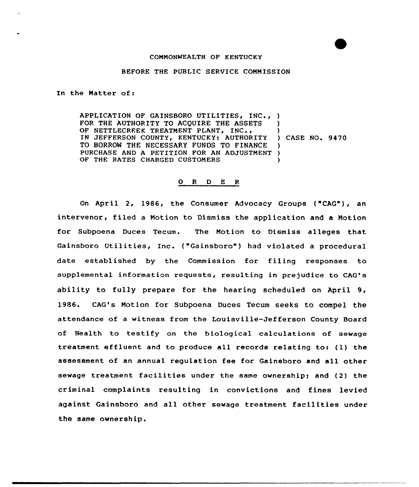## COMMONWEALTH OF KENTUCKY

## BEFORE THE PUBLIC SERVICE COMMISSION

In the Matter of:

APPLICATION OF GAINSBORO UTILITIES, INC., ) FOR THE AUTHORITY TO ACQUIRE THE ASSETS OF NETTLECREEK TREATMENT PLANT, INC., OF NETTLECREEK TREATMENT PLANT, INC., )<br>IN JEFFERSON COUNTY, KENTUCKY: AUTHORITY ) CAS<mark>E NO. 947</mark>0 TO BORROW THE NECESSARY FUNDS TO FINANCE PURCHASE AND A PETITION FOR AN ADJUSTMENT ) OF THE RATES CHARGED CUSTOMERS ) ) )

## 0 <sup>R</sup> <sup>D</sup> E 8

On April 2, 19e6, the Consumer Advocacy Groups ("CAG"), an intervenor, filed <sup>a</sup> Motion to Dismiss the application and <sup>a</sup> Motion for Subpoena Duces Tecum. The Motion to Dismiss alleges that Gainsboro Utilities, Inc. ("Gainsboro") had violated a procedural date established by the Commission for filing responses to supplemental information requests, resulting in prejudice to CAG's ability to fully prepare for the hearing scheduled on April 9, 1986. CAG's Motion for Subpoena Duces Tecum seeks to compel the attendance of a witness from the Louisville-Jefferson County Board of Health to testify on the biological calculations of sewage treatment effluent and to produce all records relating to< (1) the assessment of an annual regulation fee for Gainsboro and all other sewage treatment facilities under the same ownership; and (2) the criminal complaints resulting in convictions and fines levied against Gainsboro and all other sewage treatment facilities under the same ownership.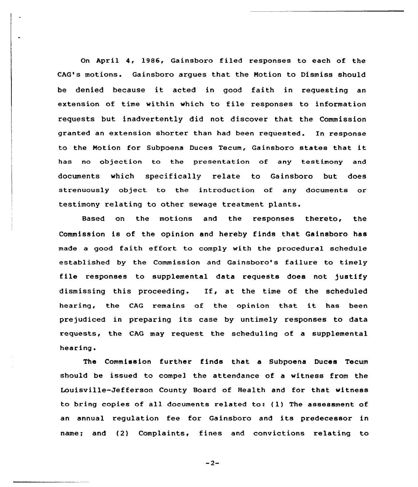On April 4, 1986, Gainsboro filed responses to each of the CAG's motions. Gainshoro argues that the Notion to Dismiss should be denied because it acted in good faith in requesting an extension of time within which to file responses to information requests but inadvertently did not discover that the Commission granted an extension shorter than had been requested. In response to the Motion for Subpoena Duces Tecum, Gainsboro states that it has no objection to the presentation of any testimony and documents which specifically relate to Gainsboro but does strenuously object to the introduction of any documents or testimony relating to other sewage treatment plants.

Based on the motions and the responses thereto, the Commission is of the opinion and hereby finds that Gainsboro has made a good faith effort to comply with the procedural schedule established by the Commission and Gainsboro's failure to timely file responses to supplemental data requests does not justify dismissing this proceeding. If, at the time of the scheduled hearing, the CAG remains of the opinion that it has been prejudiced in preparing its case by untimely responses to data requests, the CAG may request the scheduling of a supplemental hearing.

The Commission further finds that a Subpoena Duces Tecum should be issued to compel the attendance of a witness from the Louisville-Jefferson County Board of Health and for that witness to bring copies of all documents related to: (1) The assessment of an annual regulation fee for Gainsboro and its predecessor in name; and (2) Complaints, fines and convictions relating to

 $-2-$